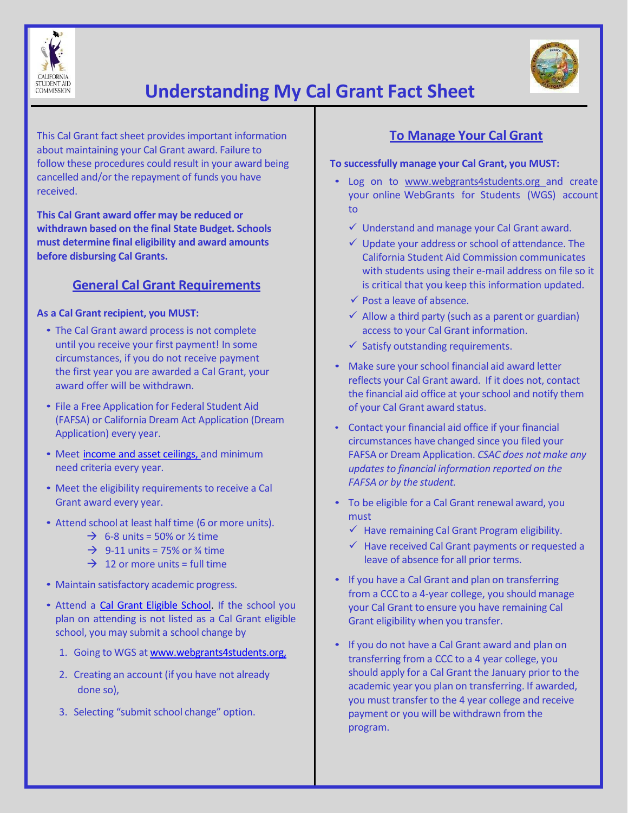



# **Understanding My Cal Grant Fact Sheet**

This Cal Grant fact sheet provides important information about maintaining your Cal Grant award. Failure to follow these procedures could result in your award being cancelled and/or the repayment of funds you have received.

**This Cal Grant award offer may be reduced or withdrawn based on the final State Budget. Schools must determine final eligibility and award amounts before disbursing Cal Grants.**

# **General Cal Grant Requirements**

#### **As a Cal Grant recipient, you MUST:**

- The Cal Grant award process is not complete until you receive your first payment! In some circumstances, if you do not receive payment the first year you are awarded a Cal Grant, your award offer will be withdrawn.
- File a Free Application for Federal Student Aid (FAFSA) or California Dream Act Application (Dream Application) every year.
- Meet income and asset ceilings, and minimum need criteria every year.
- Meet the eligibility requirements to receive a Cal Grant award every year.
- Attend school at least half time (6 or more units).
	- $\rightarrow$  6-8 units = 50% or ½ time
	- $\rightarrow$  9-11 units = 75% or  $\frac{3}{4}$  time
	- $\rightarrow$  12 or more units = full time
- Maintain satisfactory academic progress.
- Attend a Cal Grant Eligible School. If the school you plan on attending is not listed as a Cal Grant eligible school, you may submit a school change by
	- 1. Going to WGS at www.webgrants4students.org,
	- 2. Creating an account (if you have not already done so),
	- 3. Selecting "submit school change" option.

## **To Manage Your Cal Grant**

#### **To successfully manage your Cal Grant, you MUST:**

- Log on to www.webgrants4students.org and create your online WebGrants for Students (WGS) account to
	- $\checkmark$  Understand and manage your Cal Grant award.
	- $\checkmark$  Update your address or school of attendance. The California Student Aid Commission communicates with students using their e-mail address on file so it is critical that you keep this information updated.
	- $\checkmark$  Post a leave of absence.
	- $\checkmark$  Allow a third party (such as a parent or guardian) access to your Cal Grant information.
	- $\checkmark$  Satisfy outstanding requirements.
- Make sure your school financial aid award letter reflects your Cal Grant award. If it does not, contact the financial aid office at your school and notify them of your Cal Grant award status.
- Contact your financial aid office if your financial circumstances have changed since you filed your FAFSA or Dream Application. *CSAC does not make any updates to financial information reported on the FAFSA or by the student.*
- To be eligible for a Cal Grant renewal award, you must
	- $\checkmark$  Have remaining Cal Grant Program eligibility.
	- $\checkmark$  Have received Cal Grant payments or requested a leave of absence for all prior terms.
- If you have a Cal Grant and plan on transferring from a CCC to a 4‐year college, you should manage your Cal Grant to ensure you have remaining Cal Grant eligibility when you transfer.
- If you do not have a Cal Grant award and plan on transferring from a CCC to a 4 year college, you should apply for a Cal Grant the January prior to the academic year you plan on transferring. If awarded, you must transfer to the 4 year college and receive payment or you will be withdrawn from the program.